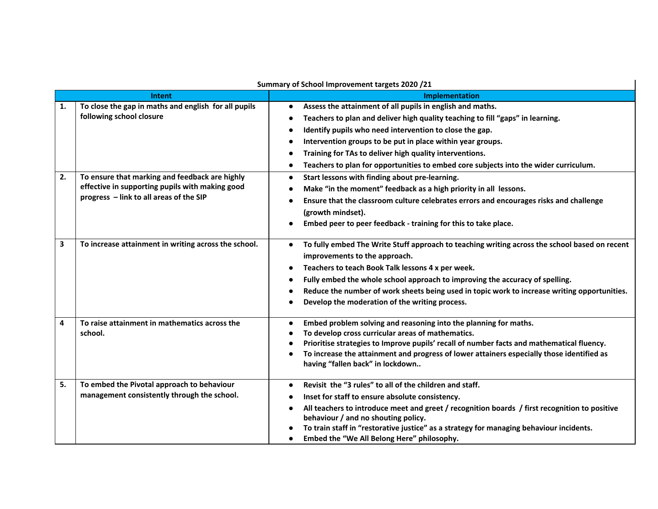| Summary of School Improvement targets 2020 /21 |                                                                                                                                              |                                                                                                                                                                                                                                                                                                                                                                                                                                                                |  |
|------------------------------------------------|----------------------------------------------------------------------------------------------------------------------------------------------|----------------------------------------------------------------------------------------------------------------------------------------------------------------------------------------------------------------------------------------------------------------------------------------------------------------------------------------------------------------------------------------------------------------------------------------------------------------|--|
|                                                | <b>Intent</b>                                                                                                                                | Implementation                                                                                                                                                                                                                                                                                                                                                                                                                                                 |  |
| 1.                                             | To close the gap in maths and english for all pupils<br>following school closure                                                             | Assess the attainment of all pupils in english and maths.<br>$\bullet$<br>Teachers to plan and deliver high quality teaching to fill "gaps" in learning.<br>Identify pupils who need intervention to close the gap.<br>$\bullet$<br>Intervention groups to be put in place within year groups.<br>Training for TAs to deliver high quality interventions.<br>Teachers to plan for opportunities to embed core subjects into the wider curriculum.<br>$\bullet$ |  |
| 2.                                             | To ensure that marking and feedback are highly<br>effective in supporting pupils with making good<br>progress - link to all areas of the SIP | Start lessons with finding about pre-learning.<br>$\bullet$<br>Make "in the moment" feedback as a high priority in all lessons.<br>Ensure that the classroom culture celebrates errors and encourages risks and challenge<br>(growth mindset).<br>Embed peer to peer feedback - training for this to take place.                                                                                                                                               |  |
| 3                                              | To increase attainment in writing across the school.                                                                                         | To fully embed The Write Stuff approach to teaching writing across the school based on recent<br>$\bullet$<br>improvements to the approach.<br>Teachers to teach Book Talk lessons 4 x per week.<br>٠<br>Fully embed the whole school approach to improving the accuracy of spelling.<br>Reduce the number of work sheets being used in topic work to increase writing opportunities.<br>Develop the moderation of the writing process.                        |  |
| 4                                              | To raise attainment in mathematics across the<br>school.                                                                                     | Embed problem solving and reasoning into the planning for maths.<br>$\bullet$<br>To develop cross curricular areas of mathematics.<br>Prioritise strategies to Improve pupils' recall of number facts and mathematical fluency.<br>To increase the attainment and progress of lower attainers especially those identified as<br>having "fallen back" in lockdown                                                                                               |  |
| 5.                                             | To embed the Pivotal approach to behaviour<br>management consistently through the school.                                                    | Revisit the "3 rules" to all of the children and staff.<br>Inset for staff to ensure absolute consistency.<br>All teachers to introduce meet and greet / recognition boards / first recognition to positive<br>behaviour / and no shouting policy.<br>To train staff in "restorative justice" as a strategy for managing behaviour incidents.<br>Embed the "We All Belong Here" philosophy.                                                                    |  |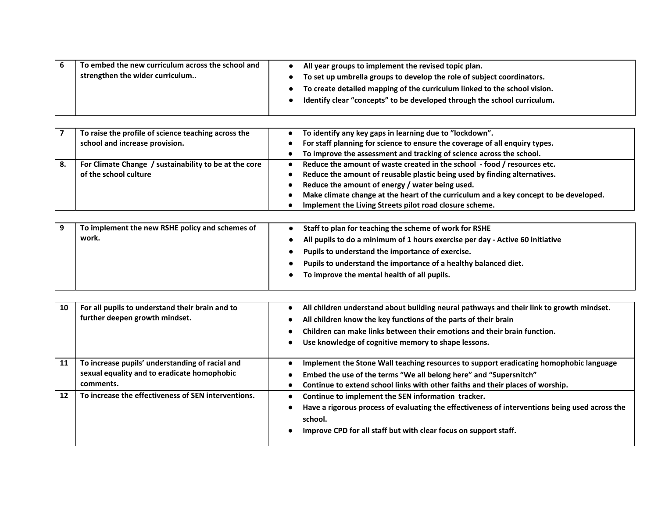| To create detailed mapping of the curriculum linked to the school vision.<br>Identify clear "concepts" to be developed through the school curriculum. |  | To embed the new curriculum across the school and<br>strengthen the wider curriculum |  | All year groups to implement the revised topic plan.<br>To set up umbrella groups to develop the role of subject coordinators. |  |
|-------------------------------------------------------------------------------------------------------------------------------------------------------|--|--------------------------------------------------------------------------------------|--|--------------------------------------------------------------------------------------------------------------------------------|--|
|-------------------------------------------------------------------------------------------------------------------------------------------------------|--|--------------------------------------------------------------------------------------|--|--------------------------------------------------------------------------------------------------------------------------------|--|

|     | To raise the profile of science teaching across the   | To identify any key gaps in learning due to "lockdown".                               |
|-----|-------------------------------------------------------|---------------------------------------------------------------------------------------|
|     | school and increase provision.                        | For staff planning for science to ensure the coverage of all enquiry types.           |
|     |                                                       | To improve the assessment and tracking of science across the school.                  |
| -8. | For Climate Change / sustainability to be at the core | Reduce the amount of waste created in the school - food / resources etc.              |
|     | of the school culture                                 | Reduce the amount of reusable plastic being used by finding alternatives.             |
|     |                                                       | Reduce the amount of energy / water being used.                                       |
|     |                                                       | Make climate change at the heart of the curriculum and a key concept to be developed. |
|     |                                                       | Implement the Living Streets pilot road closure scheme.                               |

| To implement the new RSHE policy and schemes of | Staff to plan for teaching the scheme of work for RSHE                        |
|-------------------------------------------------|-------------------------------------------------------------------------------|
| work.                                           | All pupils to do a minimum of 1 hours exercise per day - Active 60 initiative |
|                                                 | Pupils to understand the importance of exercise.                              |
|                                                 | Pupils to understand the importance of a healthy balanced diet.               |
|                                                 | To improve the mental health of all pupils.                                   |
|                                                 |                                                                               |

| 10 | For all pupils to understand their brain and to<br>further deepen growth mindset.                           | All children understand about building neural pathways and their link to growth mindset.<br>All children know the key functions of the parts of their brain<br>Children can make links between their emotions and their brain function.<br>Use knowledge of cognitive memory to shape lessons. |
|----|-------------------------------------------------------------------------------------------------------------|------------------------------------------------------------------------------------------------------------------------------------------------------------------------------------------------------------------------------------------------------------------------------------------------|
| 11 | To increase pupils' understanding of racial and<br>sexual equality and to eradicate homophobic<br>comments. | Implement the Stone Wall teaching resources to support eradicating homophobic language<br>Embed the use of the terms "We all belong here" and "Supersnitch"<br>Continue to extend school links with other faiths and their places of worship.                                                  |
| 12 | To increase the effectiveness of SEN interventions.                                                         | Continue to implement the SEN information tracker.<br>Have a rigorous process of evaluating the effectiveness of interventions being used across the<br>school.<br>Improve CPD for all staff but with clear focus on support staff.                                                            |